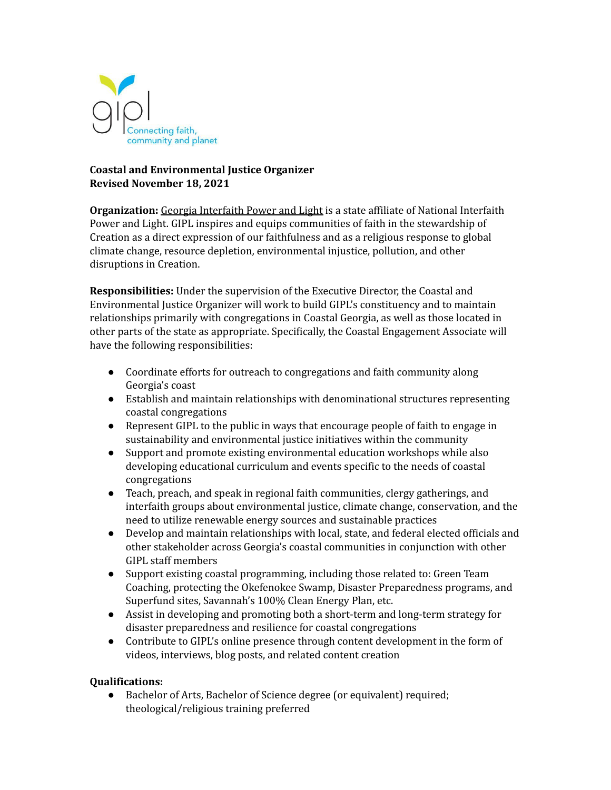

# **Coastal and Environmental Justice Organizer Revised November 18, 2021**

**Organization:** Georgia Interfaith Power and Light is a state affiliate of National Interfaith Power and Light. GIPL inspires and equips communities of faith in the stewardship of Creation as a direct expression of our faithfulness and as a religious response to global climate change, resource depletion, environmental injustice, pollution, and other disruptions in Creation.

**Responsibilities:** Under the supervision of the Executive Director, the Coastal and Environmental Justice Organizer will work to build GIPL's constituency and to maintain relationships primarily with congregations in Coastal Georgia, as well as those located in other parts of the state as appropriate. Specifically, the Coastal Engagement Associate will have the following responsibilities:

- Coordinate efforts for outreach to congregations and faith community along Georgia's coast
- Establish and maintain relationships with denominational structures representing coastal congregations
- Represent GIPL to the public in ways that encourage people of faith to engage in sustainability and environmental justice initiatives within the community
- Support and promote existing environmental education workshops while also developing educational curriculum and events specific to the needs of coastal congregations
- Teach, preach, and speak in regional faith communities, clergy gatherings, and interfaith groups about environmental justice, climate change, conservation, and the need to utilize renewable energy sources and sustainable practices
- Develop and maintain relationships with local, state, and federal elected officials and other stakeholder across Georgia's coastal communities in conjunction with other GIPL staff members
- Support existing coastal programming, including those related to: Green Team Coaching, protecting the Okefenokee Swamp, Disaster Preparedness programs, and Superfund sites, Savannah's 100% Clean Energy Plan, etc.
- Assist in developing and promoting both a short-term and long-term strategy for disaster preparedness and resilience for coastal congregations
- Contribute to GIPL's online presence through content development in the form of videos, interviews, blog posts, and related content creation

# **Qualifications:**

**●** Bachelor of Arts, Bachelor of Science degree (or equivalent) required; theological/religious training preferred